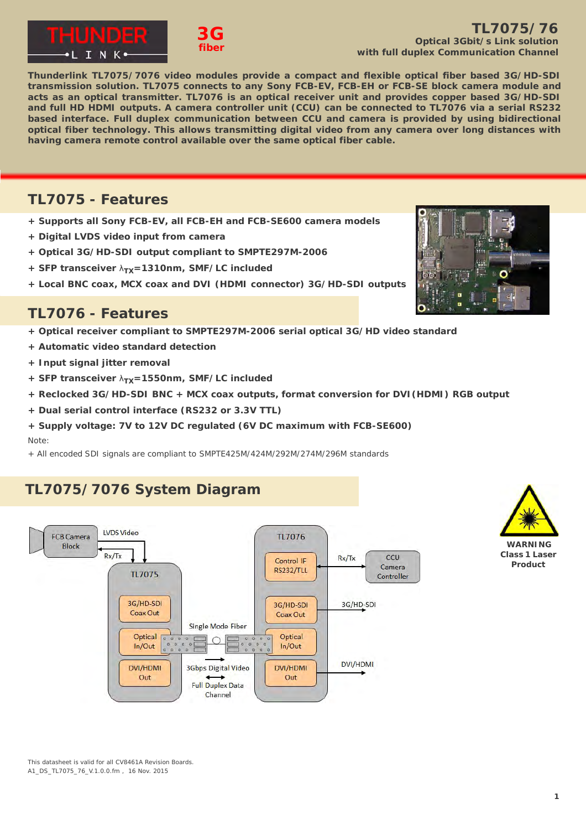



### **TL7075/76 Optical 3Gbit/s Link solution with full duplex Communication Channel**

**Thunderlink TL7075/7076 video modules provide a compact and flexible optical fiber based 3G/HD-SDI transmission solution. TL7075 connects to any Sony FCB-EV, FCB-EH or FCB-SE block camera module and acts as an optical transmitter. TL7076 is an optical receiver unit and provides copper based 3G/HD-SDI and full HD HDMI outputs. A camera controller unit (CCU) can be connected to TL7076 via a serial RS232 based interface. Full duplex communication between CCU and camera is provided by using bidirectional optical fiber technology. This allows transmitting digital video from any camera over long distances with having camera remote control available over the same optical fiber cable.**

### **TL7075 - Features**

**+ Supports all Sony FCB-EV, all FCB-EH and FCB-SE600 camera models**

**3G fiber**

- **+ Digital LVDS video input from camera**
- **+ Optical 3G/HD-SDI output compliant to SMPTE297M-2006**
- **+ SFP transceiver**  $λ<sub>TX</sub>=1310nm$ **, SMF/LC included**
- **+ Local BNC coax, MCX coax and DVI (HDMI connector) 3G/HD-SDI outputs**

## **TL7076 - Features**

- **+ Optical receiver compliant to SMPTE297M-2006 serial optical 3G/HD video standard**
- **+ Automatic video standard detection**
- **+ Input signal jitter removal**
- **+ SFP transceiver**  $λ_{TX}$ **=1550nm, SMF/LC included**
- **+ Reclocked 3G/HD-SDI BNC + MCX coax outputs, format conversion for DVI(HDMI) RGB output**
- **+ Dual serial control interface (RS232 or 3.3V TTL)**
- **+ Supply voltage: 7V to 12V DC regulated (6V DC maximum with FCB-SE600)** Note:
- + All encoded SDI signals are compliant to SMPTE425M/424M/292M/274M/296M standards

# **TL7075/7076 System Diagram**





**WARNING Class 1 Laser Product**

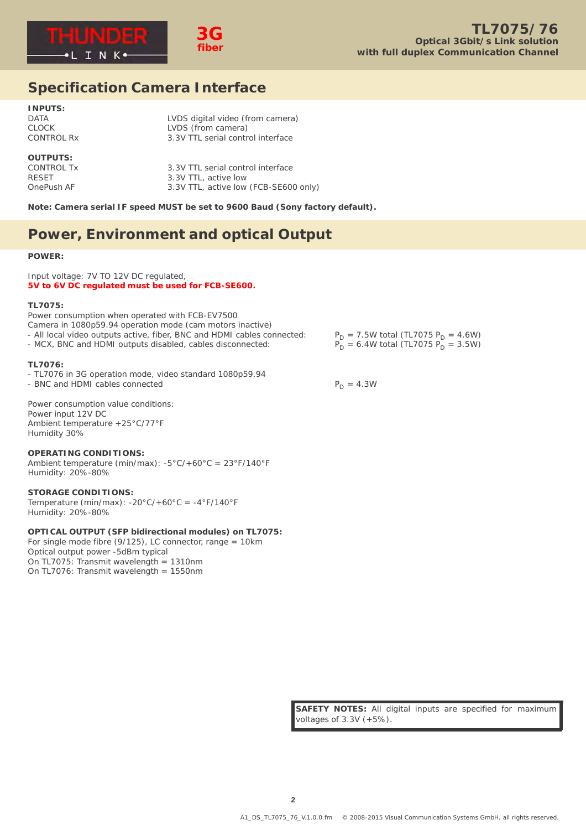



3.3V TTL serial control interface

### **Specification Camera Interface**

**INPUTS:** DATA LVDS digital video (from camera)<br>CLOCK LVDS (from camera) CLOCK LOCK LVDS (from camera)<br>CONTROL Rx 3.3V TTL serial contr

#### **OUTPUTS:**

CONTROL Tx 3.3V TTL serial control interface<br>RESET 3.3V TTL, active low RESET 3.3V TTL, active low 3.3V TTL, active low (FCB-SE600 only)

**Note: Camera serial IF speed MUST be set to 9600 Baud (Sony factory default).**

### **Power, Environment and optical Output**

#### **POWER:**

Input voltage: 7V TO 12V DC regulated, **5V to 6V DC regulated must be used for FCB-SE600.**

#### **TL7075:**

Power consumption when operated with FCB-EV7500 Camera in 1080p59.94 operation mode (cam motors inactive) - All local video outputs active, fiber, BNC and HDMI cables connected:  $P_D = 7.5W$  total (TL7075 P<sub>D</sub> = 4.6W)<br>- MCX, BNC and HDMI outputs disabled, cables disconnected:  $P_D = 6.4W$  total (TL7075 P<sub>D</sub> = 3.5W) - MCX, BNC and HDMI outputs disabled, cables disconnected:

#### **TL7076:**

- TL7076 in 3G operation mode, video standard 1080p59.94

- BNC and HDMI cables connected  $P_D = 4.3W$ 

Power consumption value conditions: Power input 12V DC Ambient temperature +25°C/77°F Humidity 30%

#### **OPERATING CONDITIONS:**

Ambient temperature (min/max): -5°C/+60°C = 23°F/140°F Humidity: 20%-80%

#### **STORAGE CONDITIONS:**

Temperature (min/max):  $-20^{\circ}C/+60^{\circ}C = -4^{\circ}F/140^{\circ}F$ Humidity: 20%-80%

### **OPTICAL OUTPUT (SFP bidirectional modules) on TL7075:**

For single mode fibre  $(9/125)$ , LC connector, range = 10km Optical output power -5dBm typical On TL7075: Transmit wavelength = 1310nm On TL7076: Transmit wavelength = 1550nm

**SAFETY NOTES:** All digital inputs are specified for maximum voltages of 3.3V (+5%).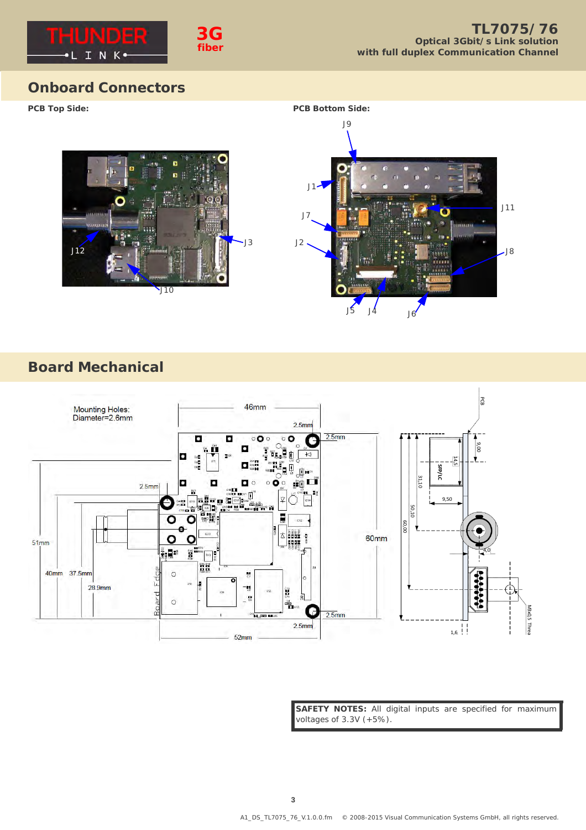

## **Onboard Connectors**





# **Board Mechanical**



**SAFETY NOTES:** All digital inputs are specified for maximum voltages of 3.3V (+5%).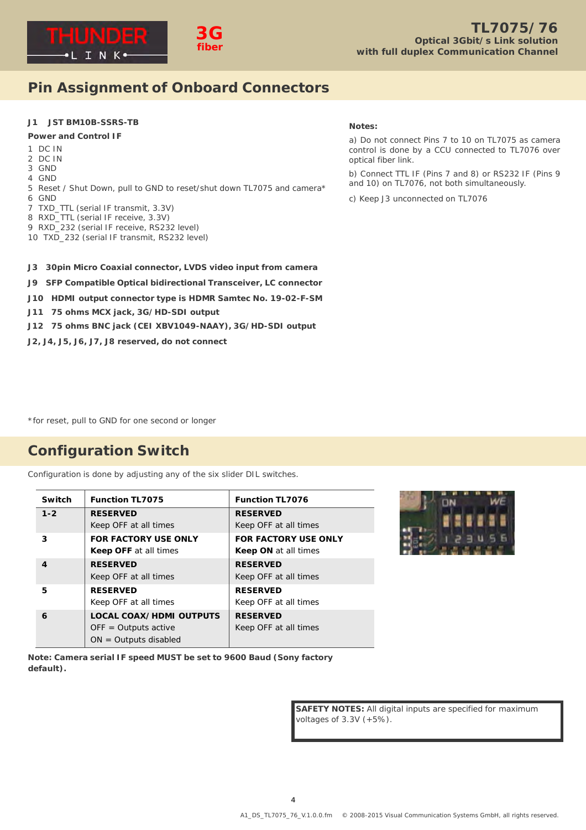

## **Pin Assignment of Onboard Connectors**

### **J1 JST BM10B-SSRS-TB**

#### **Power and Control IF**

- 1 DC IN
- 2 DC IN
- 3 GND 4 GND
- 
- 5 Reset / Shut Down, pull to GND to reset/shut down TL7075 and camera\*
- 6 GND
- 7 TXD\_TTL (serial IF transmit, 3.3V)
- 8 RXD\_TTL (serial IF receive, 3.3V) 9 RXD\_232 (serial IF receive, RS232 level)
- 10 TXD\_232 (serial IF transmit, RS232 level)

#### **Notes:**

a) Do not connect Pins 7 to 10 on TL7075 as camera control is done by a CCU connected to TL7076 over optical fiber link.

b) Connect TTL IF (Pins 7 and 8) or RS232 IF (Pins 9 and 10) on TL7076, not both simultaneously.

c) Keep J3 unconnected on TL7076

- **J3 30pin Micro Coaxial connector, LVDS video input from camera**
- **J9 SFP Compatible Optical bidirectional Transceiver, LC connector**
- **J10 HDMI output connector type is HDMR Samtec No. 19-02-F-SM**
- **J11 75 ohms MCX jack, 3G/HD-SDI output**
- **J12 75 ohms BNC jack (CEI XBV1049-NAAY), 3G/HD-SDI output**
- **J2, J4, J5, J6, J7, J8 reserved, do not connect**

\*for reset, pull to GND for one second or longer

# **Configuration Switch**

Configuration is done by adjusting any of the six slider DIL switches.

| Switch  | <b>Function TL7075</b>         | <b>Function TL7076</b>      |
|---------|--------------------------------|-----------------------------|
| $1 - 2$ | <b>RESERVED</b>                | <b>RESERVED</b>             |
|         | Keep OFF at all times          | Keep OFF at all times       |
| 3       | <b>FOR FACTORY USE ONLY</b>    | <b>FOR FACTORY USE ONLY</b> |
|         | <b>Keep OFF</b> at all times   | <b>Keep ON at all times</b> |
| 4       | <b>RESERVED</b>                | <b>RESERVED</b>             |
|         | Keep OFF at all times          | Keep OFF at all times       |
| 5       | <b>RESERVED</b>                | <b>RESERVED</b>             |
|         | Keep OFF at all times          | Keep OFF at all times       |
| 6       | <b>LOCAL COAX/HDMI OUTPUTS</b> | <b>RESERVED</b>             |
|         | $OFF = Outputs active$         | Keep OFF at all times       |
|         | $ON = Outputs disabeled$       |                             |



**Note: Camera serial IF speed MUST be set to 9600 Baud (Sony factory default).**

> **SAFETY NOTES:** All digital inputs are specified for maximum voltages of 3.3V (+5%).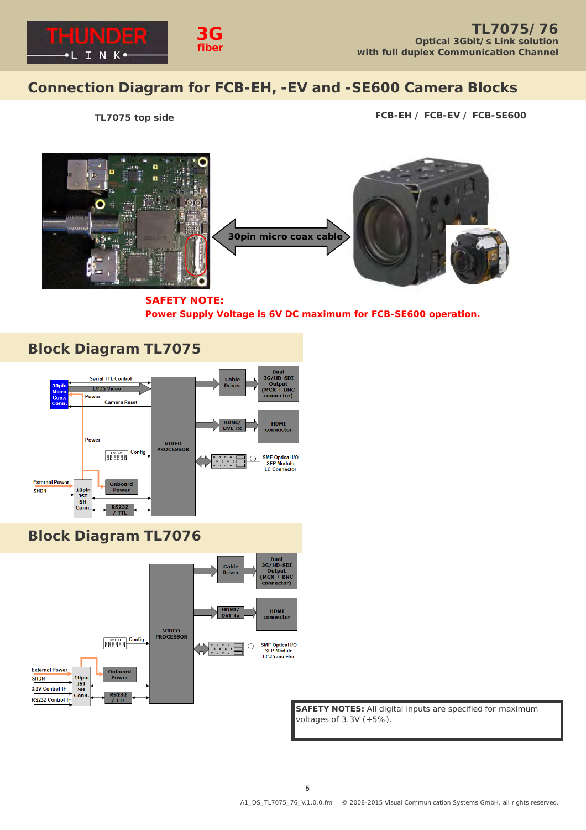

# **Connection Diagram for FCB-EH, -EV and -SE600 Camera Blocks**

**TL7075 top side FCB-EH / FCB-EV / FCB-SE600**



**SAFETY NOTE: Power Supply Voltage is 6V DC maximum for FCB-SE600 operation.**





**SAFETY NOTES:** All digital inputs are specified for maximum voltages of 3.3V (+5%).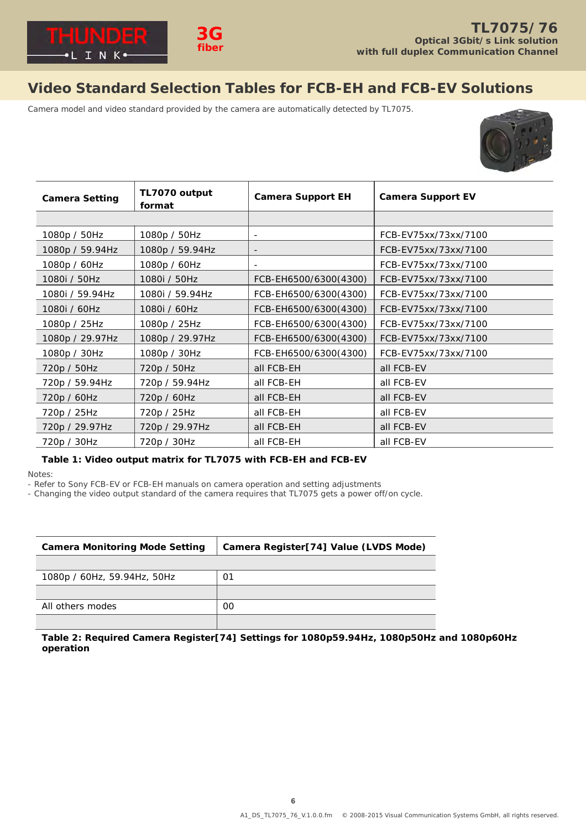

# **Video Standard Selection Tables for FCB-EH and FCB-EV Solutions**

Camera model and video standard provided by the camera are automatically detected by TL7075.



| <b>Camera Setting</b> | TL7070 output<br>format | <b>Camera Support EH</b> | <b>Camera Support EV</b> |
|-----------------------|-------------------------|--------------------------|--------------------------|
|                       |                         |                          |                          |
| 1080p / 50Hz          | 1080p / 50Hz            |                          | FCB-EV75xx/73xx/7100     |
| 1080p / 59.94Hz       | 1080p / 59.94Hz         | $\qquad \qquad -$        | FCB-EV75xx/73xx/7100     |
| 1080p / 60Hz          | 1080p / 60Hz            | $\sim$                   | FCB-EV75xx/73xx/7100     |
| 1080i / 50Hz          | 1080i / 50Hz            | FCB-EH6500/6300(4300)    | FCB-EV75xx/73xx/7100     |
| 1080i / 59.94Hz       | 1080i / 59.94Hz         | FCB-EH6500/6300(4300)    | FCB-EV75xx/73xx/7100     |
| 1080i / 60Hz          | 1080i / 60Hz            | FCB-EH6500/6300(4300)    | FCB-EV75xx/73xx/7100     |
| 1080p / 25Hz          | 1080p / 25Hz            | FCB-EH6500/6300(4300)    | FCB-EV75xx/73xx/7100     |
| 1080p / 29.97Hz       | 1080p / 29.97Hz         | FCB-EH6500/6300(4300)    | FCB-EV75xx/73xx/7100     |
| 1080p / 30Hz          | 1080p / 30Hz            | FCB-EH6500/6300(4300)    | FCB-EV75xx/73xx/7100     |
| 720p / 50Hz           | 720p / 50Hz             | all FCB-EH               | all FCB-EV               |
| 720p / 59.94Hz        | 720p / 59.94Hz          | all FCB-EH               | all FCB-EV               |
| 720p / 60Hz           | 720p / 60Hz             | all FCB-EH               | all FCB-EV               |
| 720p / 25Hz           | 720p / 25Hz             | all FCB-EH               | all FCB-EV               |
| 720p / 29.97Hz        | 720p / 29.97Hz          | all FCB-EH               | all FCB-EV               |
| 720p / 30Hz           | 720p / 30Hz             | all FCB-EH               | all FCB-EV               |

### **Table 1: Video output matrix for TL7075 with FCB-EH and FCB-EV**

Notes:

- Refer to Sony FCB-EV or FCB-EH manuals on camera operation and setting adjustments

- Changing the video output standard of the camera requires that TL7075 gets a power off/on cycle.

| <b>Camera Monitoring Mode Setting</b> | Camera Register[74] Value (LVDS Mode) |  |
|---------------------------------------|---------------------------------------|--|
|                                       |                                       |  |
| 1080p / 60Hz, 59.94Hz, 50Hz           | 01                                    |  |
|                                       |                                       |  |
| All others modes                      | 00                                    |  |
|                                       |                                       |  |

**Table 2: Required Camera Register[74] Settings for 1080p59.94Hz, 1080p50Hz and 1080p60Hz operation**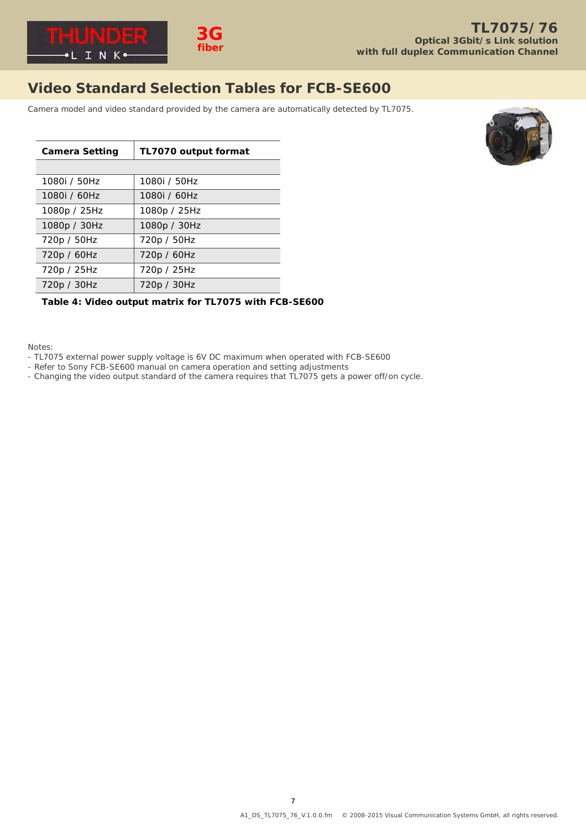

# **Video Standard Selection Tables for FCB-SE600**

Camera model and video standard provided by the camera are automatically detected by TL7075.

| <b>Camera Setting</b> | TL7070 output format |  |
|-----------------------|----------------------|--|
|                       |                      |  |
| 1080i / 50Hz          | 1080i / 50Hz         |  |
| 1080i / 60Hz          | 1080i / 60Hz         |  |
| 1080p / 25Hz          | 1080p / 25Hz         |  |
| 1080p / 30Hz          | 1080p / 30Hz         |  |
| 720p / 50Hz           | 720p / 50Hz          |  |
| 720p / 60Hz           | 720p / 60Hz          |  |
| 720p / 25Hz           | 720p / 25Hz          |  |
| 720p / 30Hz           | 720p / 30Hz          |  |
|                       |                      |  |

### **Table 4: Video output matrix for TL7075 with FCB-SE600**

Notes:

- TL7075 external power supply voltage is 6V DC maximum when operated with FCB-SE600
- Refer to Sony FCB-SE600 manual on camera operation and setting adjustments
- Changing the video output standard of the camera requires that TL7075 gets a power off/on cycle.